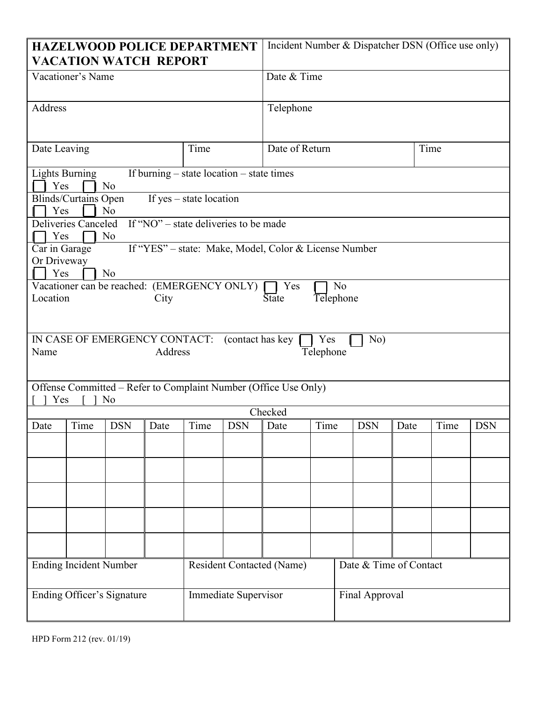| <b>HAZELWOOD POLICE DEPARTMENT</b><br><b>VACATION WATCH REPORT</b>                                                                                                                                                                                                                                                                                                                                                                                                                                                                                                                                                                                                                                                            |      |            |      |                                                          | Incident Number & Dispatcher DSN (Office use only) |                |      |                                          |      |      |            |  |
|-------------------------------------------------------------------------------------------------------------------------------------------------------------------------------------------------------------------------------------------------------------------------------------------------------------------------------------------------------------------------------------------------------------------------------------------------------------------------------------------------------------------------------------------------------------------------------------------------------------------------------------------------------------------------------------------------------------------------------|------|------------|------|----------------------------------------------------------|----------------------------------------------------|----------------|------|------------------------------------------|------|------|------------|--|
| Vacationer's Name                                                                                                                                                                                                                                                                                                                                                                                                                                                                                                                                                                                                                                                                                                             |      |            |      |                                                          |                                                    | Date & Time    |      |                                          |      |      |            |  |
| Address                                                                                                                                                                                                                                                                                                                                                                                                                                                                                                                                                                                                                                                                                                                       |      |            |      |                                                          |                                                    | Telephone      |      |                                          |      |      |            |  |
| Date Leaving                                                                                                                                                                                                                                                                                                                                                                                                                                                                                                                                                                                                                                                                                                                  |      |            |      | Time                                                     |                                                    | Date of Return |      |                                          | Time |      |            |  |
| If burning – state location – state times<br><b>Lights Burning</b><br>Yes<br>N <sub>o</sub><br>Blinds/Curtains Open<br>If $yes - state location$<br>Yes<br>N <sub>o</sub><br>If "NO" $\overline{\phantom{a}}$ - state deliveries to be made<br>Deliveries Canceled<br>Yes<br>N <sub>o</sub><br>If "YES" - state: Make, Model, Color & License Number<br>$\overline{\text{Car}}$ in Garage<br>Or Driveway<br>Yes<br>N <sub>o</sub><br>Vacationer can be reached: (EMERGENCY ONLY)<br>Yes<br>N <sub>o</sub><br>Location<br><b>State</b><br>Telephone<br>City<br>IN CASE OF EMERGENCY CONTACT: (contact has key<br>No)<br>Yes<br>Address<br>Name<br>Telephone<br>Offense Committed – Refer to Complaint Number (Office Use Only) |      |            |      |                                                          |                                                    |                |      |                                          |      |      |            |  |
| Yes<br>N <sub>o</sub><br>Checked                                                                                                                                                                                                                                                                                                                                                                                                                                                                                                                                                                                                                                                                                              |      |            |      |                                                          |                                                    |                |      |                                          |      |      |            |  |
| Date                                                                                                                                                                                                                                                                                                                                                                                                                                                                                                                                                                                                                                                                                                                          | Time | <b>DSN</b> | Date | Time                                                     | <b>DSN</b>                                         | Date           | Time | <b>DSN</b>                               | Date | Time | <b>DSN</b> |  |
|                                                                                                                                                                                                                                                                                                                                                                                                                                                                                                                                                                                                                                                                                                                               |      |            |      |                                                          |                                                    |                |      |                                          |      |      |            |  |
| <b>Ending Incident Number</b>                                                                                                                                                                                                                                                                                                                                                                                                                                                                                                                                                                                                                                                                                                 |      |            |      | <b>Resident Contacted (Name)</b><br>Immediate Supervisor |                                                    |                |      | Date & Time of Contact<br>Final Approval |      |      |            |  |
| <b>Ending Officer's Signature</b>                                                                                                                                                                                                                                                                                                                                                                                                                                                                                                                                                                                                                                                                                             |      |            |      |                                                          |                                                    |                |      |                                          |      |      |            |  |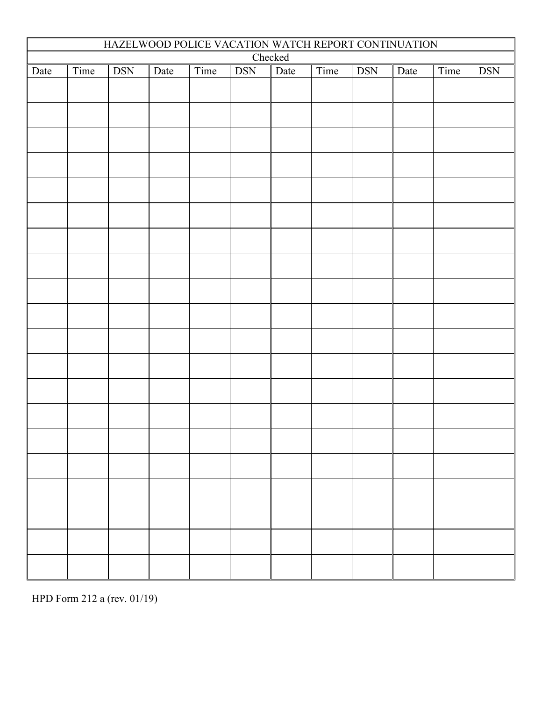| HAZELWOOD POLICE VACATION WATCH REPORT CONTINUATION                                                       |  |  |  |  |  |  |  |            |  |  |  |
|-----------------------------------------------------------------------------------------------------------|--|--|--|--|--|--|--|------------|--|--|--|
| Checked<br>Time<br><b>DSN</b><br>Time<br><b>DSN</b><br>Time<br>Time<br>Date<br>Date<br><b>DSN</b><br>Date |  |  |  |  |  |  |  | <b>DSN</b> |  |  |  |
| Date                                                                                                      |  |  |  |  |  |  |  |            |  |  |  |
|                                                                                                           |  |  |  |  |  |  |  |            |  |  |  |
|                                                                                                           |  |  |  |  |  |  |  |            |  |  |  |
|                                                                                                           |  |  |  |  |  |  |  |            |  |  |  |
|                                                                                                           |  |  |  |  |  |  |  |            |  |  |  |
|                                                                                                           |  |  |  |  |  |  |  |            |  |  |  |
|                                                                                                           |  |  |  |  |  |  |  |            |  |  |  |
|                                                                                                           |  |  |  |  |  |  |  |            |  |  |  |
|                                                                                                           |  |  |  |  |  |  |  |            |  |  |  |
|                                                                                                           |  |  |  |  |  |  |  |            |  |  |  |
|                                                                                                           |  |  |  |  |  |  |  |            |  |  |  |
|                                                                                                           |  |  |  |  |  |  |  |            |  |  |  |
|                                                                                                           |  |  |  |  |  |  |  |            |  |  |  |
|                                                                                                           |  |  |  |  |  |  |  |            |  |  |  |
|                                                                                                           |  |  |  |  |  |  |  |            |  |  |  |
|                                                                                                           |  |  |  |  |  |  |  |            |  |  |  |
|                                                                                                           |  |  |  |  |  |  |  |            |  |  |  |
|                                                                                                           |  |  |  |  |  |  |  |            |  |  |  |
|                                                                                                           |  |  |  |  |  |  |  |            |  |  |  |
|                                                                                                           |  |  |  |  |  |  |  |            |  |  |  |
|                                                                                                           |  |  |  |  |  |  |  |            |  |  |  |
|                                                                                                           |  |  |  |  |  |  |  |            |  |  |  |

HPD Form 212 a (rev. 01/19)